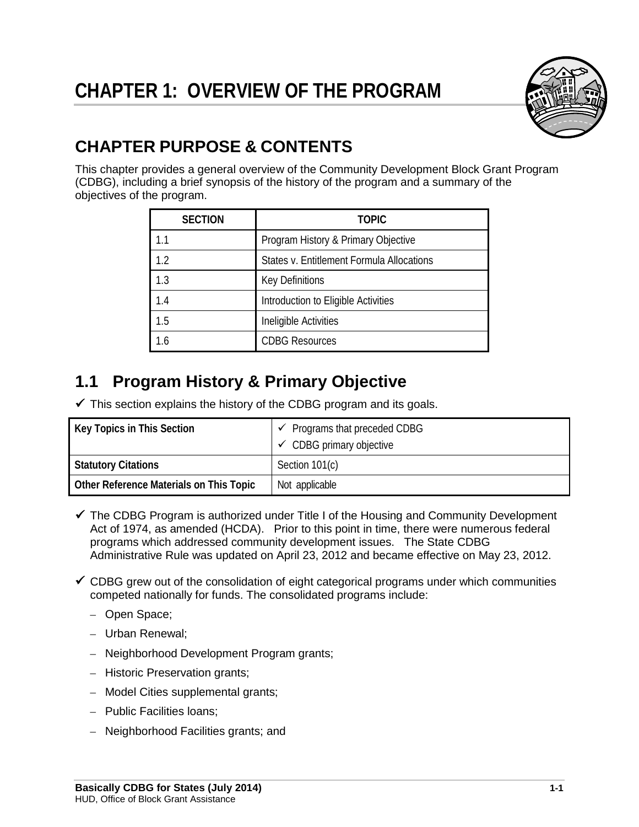

# **CHAPTER PURPOSE & CONTENTS**

This chapter provides a general overview of the Community Development Block Grant Program (CDBG), including a brief synopsis of the history of the program and a summary of the objectives of the program.

| <b>SECTION</b> | <b>TOPIC</b>                              |
|----------------|-------------------------------------------|
| 11             | Program History & Primary Objective       |
| 1.2            | States v. Entitlement Formula Allocations |
| 1.3            | <b>Key Definitions</b>                    |
| 1.4            | Introduction to Eligible Activities       |
| 1.5            | Ineligible Activities                     |
| 1.6            | <b>CDBG Resources</b>                     |

# **1.1 Program History & Primary Objective**

 $\checkmark$  This section explains the history of the CDBG program and its goals.

| Key Topics in This Section              | $\checkmark$ Programs that preceded CDBG<br>$\checkmark$ CDBG primary objective |
|-----------------------------------------|---------------------------------------------------------------------------------|
| <b>Statutory Citations</b>              | Section 101(c)                                                                  |
| Other Reference Materials on This Topic | Not applicable                                                                  |

- $\checkmark$  The CDBG Program is authorized under Title I of the Housing and Community Development Act of 1974, as amended (HCDA). Prior to this point in time, there were numerous federal programs which addressed community development issues. The State CDBG Administrative Rule was updated on April 23, 2012 and became effective on May 23, 2012.
- $\checkmark$  CDBG grew out of the consolidation of eight categorical programs under which communities competed nationally for funds. The consolidated programs include:
	- Open Space;
	- Urban Renewal;
	- Neighborhood Development Program grants;
	- Historic Preservation grants;
	- Model Cities supplemental grants;
	- Public Facilities loans;
	- Neighborhood Facilities grants; and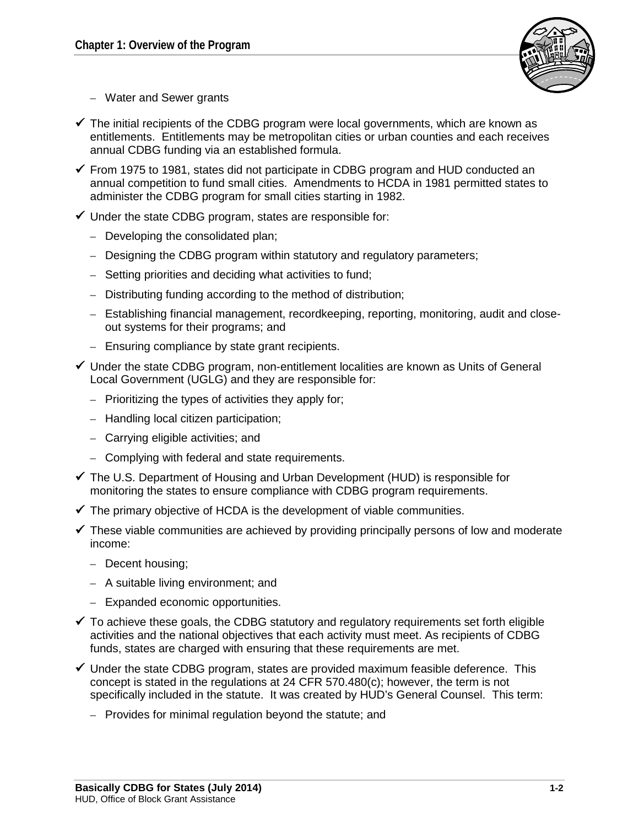

- Water and Sewer grants
- $\checkmark$  The initial recipients of the CDBG program were local governments, which are known as entitlements. Entitlements may be metropolitan cities or urban counties and each receives annual CDBG funding via an established formula.
- $\checkmark$  From 1975 to 1981, states did not participate in CDBG program and HUD conducted an annual competition to fund small cities. Amendments to HCDA in 1981 permitted states to administer the CDBG program for small cities starting in 1982.
- $\checkmark$  Under the state CDBG program, states are responsible for:
	- Developing the consolidated plan;
	- Designing the CDBG program within statutory and regulatory parameters;
	- Setting priorities and deciding what activities to fund;
	- Distributing funding according to the method of distribution;
	- Establishing financial management, recordkeeping, reporting, monitoring, audit and closeout systems for their programs; and
	- Ensuring compliance by state grant recipients.
- $\checkmark$  Under the state CDBG program, non-entitlement localities are known as Units of General Local Government (UGLG) and they are responsible for:
	- Prioritizing the types of activities they apply for;
	- Handling local citizen participation;
	- Carrying eligible activities; and
	- Complying with federal and state requirements.
- $\checkmark$  The U.S. Department of Housing and Urban Development (HUD) is responsible for monitoring the states to ensure compliance with CDBG program requirements.
- $\checkmark$  The primary objective of HCDA is the development of viable communities.
- $\checkmark$  These viable communities are achieved by providing principally persons of low and moderate income:
	- Decent housing;
	- A suitable living environment; and
	- Expanded economic opportunities.
- $\checkmark$  To achieve these goals, the CDBG statutory and regulatory requirements set forth eligible activities and the national objectives that each activity must meet. As recipients of CDBG funds, states are charged with ensuring that these requirements are met.
- $\checkmark$  Under the state CDBG program, states are provided maximum feasible deference. This concept is stated in the regulations at 24 CFR 570.480(c); however, the term is not specifically included in the statute. It was created by HUD's General Counsel. This term:
	- Provides for minimal regulation beyond the statute; and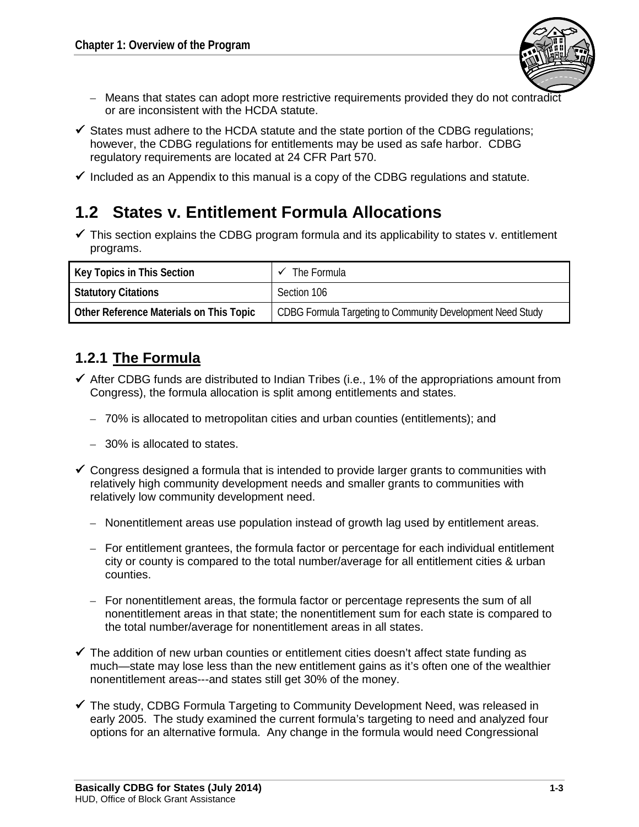

- Means that states can adopt more restrictive requirements provided they do not contradict or are inconsistent with the HCDA statute.
- $\checkmark$  States must adhere to the HCDA statute and the state portion of the CDBG regulations; however, the CDBG regulations for entitlements may be used as safe harbor. CDBG regulatory requirements are located at 24 CFR Part 570.
- $\checkmark$  Included as an Appendix to this manual is a copy of the CDBG regulations and statute.

# **1.2 States v. Entitlement Formula Allocations**

 $\checkmark$  This section explains the CDBG program formula and its applicability to states v. entitlement programs.

| Key Topics in This Section              | The Formula                                                |
|-----------------------------------------|------------------------------------------------------------|
| <b>Statutory Citations</b>              | Section 106                                                |
| Other Reference Materials on This Topic | CDBG Formula Targeting to Community Development Need Study |

### **1.2.1 The Formula**

- $\checkmark$  After CDBG funds are distributed to Indian Tribes (i.e., 1% of the appropriations amount from Congress), the formula allocation is split among entitlements and states.
	- 70% is allocated to metropolitan cities and urban counties (entitlements); and
	- 30% is allocated to states.
- $\checkmark$  Congress designed a formula that is intended to provide larger grants to communities with relatively high community development needs and smaller grants to communities with relatively low community development need.
	- Nonentitlement areas use population instead of growth lag used by entitlement areas.
	- For entitlement grantees, the formula factor or percentage for each individual entitlement city or county is compared to the total number/average for all entitlement cities & urban counties.
	- For nonentitlement areas, the formula factor or percentage represents the sum of all nonentitlement areas in that state; the nonentitlement sum for each state is compared to the total number/average for nonentitlement areas in all states.
- $\checkmark$  The addition of new urban counties or entitlement cities doesn't affect state funding as much—state may lose less than the new entitlement gains as it's often one of the wealthier nonentitlement areas---and states still get 30% of the money.
- $\checkmark$  The study, CDBG Formula Targeting to Community Development Need, was released in early 2005. The study examined the current formula's targeting to need and analyzed four options for an alternative formula. Any change in the formula would need Congressional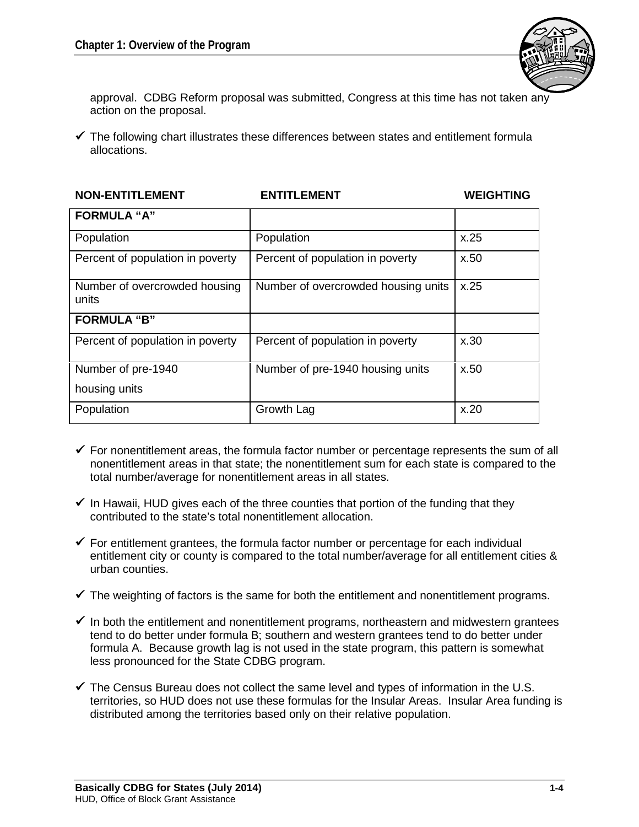

approval. CDBG Reform proposal was submitted, Congress at this time has not taken any action on the proposal.

 $\checkmark$  The following chart illustrates these differences between states and entitlement formula allocations.

| <b>NON-ENTITLEMENT</b>                 | <b>ENTITLEMENT</b>                  | <b>WEIGHTING</b> |
|----------------------------------------|-------------------------------------|------------------|
| <b>FORMULA "A"</b>                     |                                     |                  |
| Population                             | Population                          | x.25             |
| Percent of population in poverty       | Percent of population in poverty    | x.50             |
| Number of overcrowded housing<br>units | Number of overcrowded housing units | x.25             |
| <b>FORMULA "B"</b>                     |                                     |                  |
| Percent of population in poverty       | Percent of population in poverty    | x.30             |
| Number of pre-1940                     | Number of pre-1940 housing units    | x.50             |
| housing units                          |                                     |                  |
| Population                             | Growth Lag                          | x.20             |

- $\checkmark$  For nonentitlement areas, the formula factor number or percentage represents the sum of all nonentitlement areas in that state; the nonentitlement sum for each state is compared to the total number/average for nonentitlement areas in all states.
- $\checkmark$  In Hawaii, HUD gives each of the three counties that portion of the funding that they contributed to the state's total nonentitlement allocation.
- $\checkmark$  For entitlement grantees, the formula factor number or percentage for each individual entitlement city or county is compared to the total number/average for all entitlement cities & urban counties.
- $\checkmark$  The weighting of factors is the same for both the entitlement and nonentitlement programs.
- $\checkmark$  In both the entitlement and nonentitlement programs, northeastern and midwestern grantees tend to do better under formula B; southern and western grantees tend to do better under formula A. Because growth lag is not used in the state program, this pattern is somewhat less pronounced for the State CDBG program.
- $\checkmark$  The Census Bureau does not collect the same level and types of information in the U.S. territories, so HUD does not use these formulas for the Insular Areas. Insular Area funding is distributed among the territories based only on their relative population.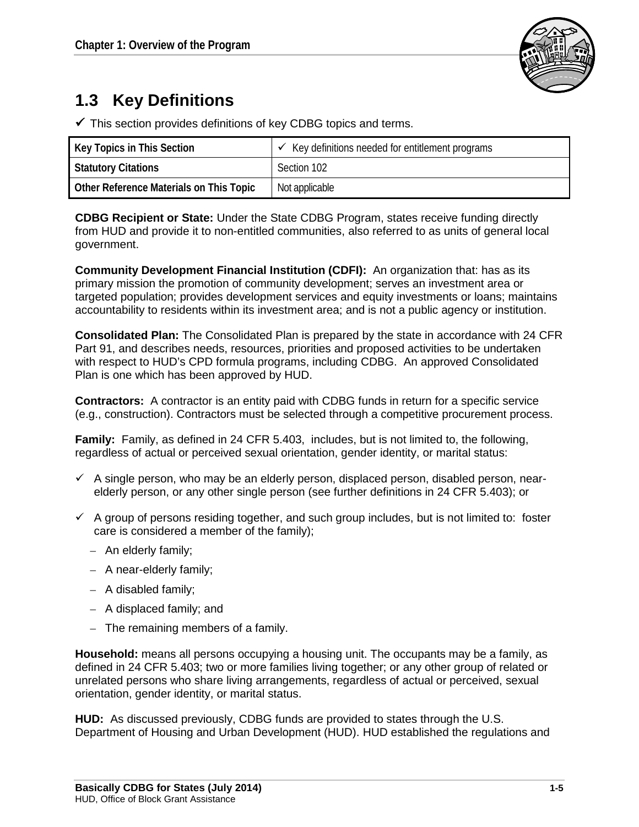

# **1.3 Key Definitions**

 $\checkmark$  This section provides definitions of key CDBG topics and terms.

| Key Topics in This Section              | Key definitions needed for entitlement programs |
|-----------------------------------------|-------------------------------------------------|
| <b>Statutory Citations</b>              | Section 102                                     |
| Other Reference Materials on This Topic | Not applicable                                  |

**CDBG Recipient or State:** Under the State CDBG Program, states receive funding directly from HUD and provide it to non-entitled communities, also referred to as units of general local government.

**Community Development Financial Institution (CDFI):** An organization that: has as its primary mission the promotion of community development; serves an investment area or targeted population; provides development services and equity investments or loans; maintains accountability to residents within its investment area; and is not a public agency or institution.

**Consolidated Plan:** The Consolidated Plan is prepared by the state in accordance with 24 CFR Part 91, and describes needs, resources, priorities and proposed activities to be undertaken with respect to HUD's CPD formula programs, including CDBG. An approved Consolidated Plan is one which has been approved by HUD.

**Contractors:** A contractor is an entity paid with CDBG funds in return for a specific service (e.g., construction). Contractors must be selected through a competitive procurement process.

**Family:** Family, as defined in 24 CFR 5.403, includes, but is not limited to, the following, regardless of actual or perceived sexual orientation, gender identity, or marital status:

- $\checkmark$  A single person, who may be an elderly person, displaced person, disabled person, nearelderly person, or any other single person (see further definitions in 24 CFR 5.403); or
- $\checkmark$  A group of persons residing together, and such group includes, but is not limited to: foster care is considered a member of the family);
	- An elderly family;
	- A near-elderly family;
	- A disabled family;
	- A displaced family; and
	- The remaining members of a family.

**Household:** means all persons occupying a housing unit. The occupants may be a family, as defined in 24 CFR 5.403; two or more families living together; or any other group of related or unrelated persons who share living arrangements, regardless of actual or perceived, sexual orientation, gender identity, or marital status.

**HUD:** As discussed previously, CDBG funds are provided to states through the U.S. Department of Housing and Urban Development (HUD). HUD established the regulations and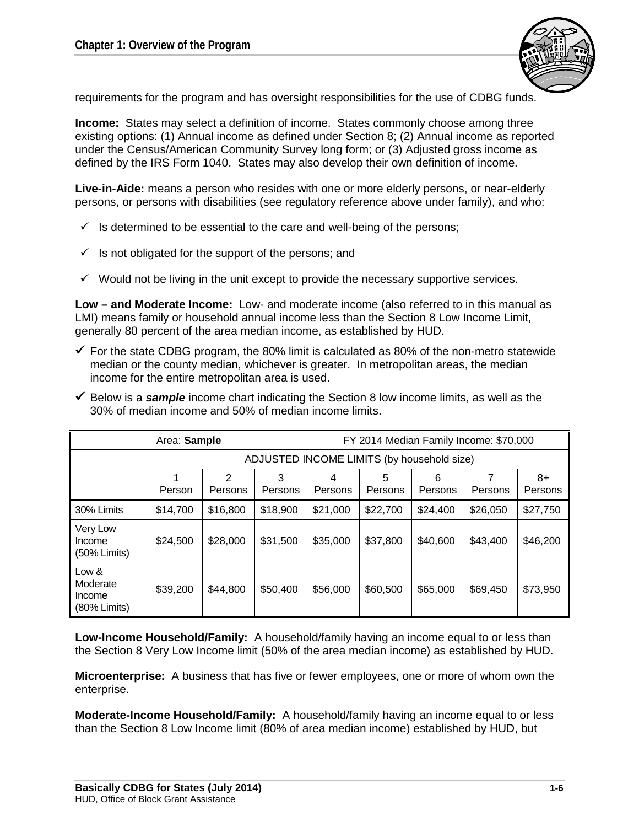

requirements for the program and has oversight responsibilities for the use of CDBG funds.

**Income:** States may select a definition of income. States commonly choose among three existing options: (1) Annual income as defined under Section 8; (2) Annual income as reported under the Census/American Community Survey long form; or (3) Adjusted gross income as defined by the IRS Form 1040. States may also develop their own definition of income.

**Live-in-Aide:** means a person who resides with one or more elderly persons, or near-elderly persons, or persons with disabilities (see regulatory reference above under family), and who:

- $\checkmark$  is determined to be essential to the care and well-being of the persons;
- $\checkmark$  Is not obligated for the support of the persons; and
- $\checkmark$  Would not be living in the unit except to provide the necessary supportive services.

**Low – and Moderate Income:** Low- and moderate income (also referred to in this manual as LMI) means family or household annual income less than the Section 8 Low Income Limit, generally 80 percent of the area median income, as established by HUD.

- $\checkmark$  For the state CDBG program, the 80% limit is calculated as 80% of the non-metro statewide median or the county median, whichever is greater. In metropolitan areas, the median income for the entire metropolitan area is used.
- $\checkmark$  Below is a *sample* income chart indicating the Section 8 low income limits, as well as the 30% of median income and 50% of median income limits.

|                                                | Area: Sample                               |              |              | FY 2014 Median Family Income: \$70,000 |              |              |          |                 |
|------------------------------------------------|--------------------------------------------|--------------|--------------|----------------------------------------|--------------|--------------|----------|-----------------|
|                                                | ADJUSTED INCOME LIMITS (by household size) |              |              |                                        |              |              |          |                 |
|                                                | Person                                     | 2<br>Persons | 3<br>Persons | 4<br>Persons                           | 5<br>Persons | 6<br>Persons | Persons  | $8+$<br>Persons |
| 30% Limits                                     | \$14,700                                   | \$16,800     | \$18,900     | \$21,000                               | \$22,700     | \$24,400     | \$26,050 | \$27,750        |
| Very Low<br>Income<br>(50% Limits)             | \$24,500                                   | \$28,000     | \$31,500     | \$35,000                               | \$37,800     | \$40,600     | \$43,400 | \$46,200        |
| Low &<br>Moderate<br>Income<br>$(80\%$ Limits) | \$39,200                                   | \$44,800     | \$50,400     | \$56,000                               | \$60,500     | \$65,000     | \$69,450 | \$73,950        |

**Low-Income Household/Family:** A household/family having an income equal to or less than the Section 8 Very Low Income limit (50% of the area median income) as established by HUD.

**Microenterprise:** A business that has five or fewer employees, one or more of whom own the enterprise.

**Moderate-Income Household/Family:** A household/family having an income equal to or less than the Section 8 Low Income limit (80% of area median income) established by HUD, but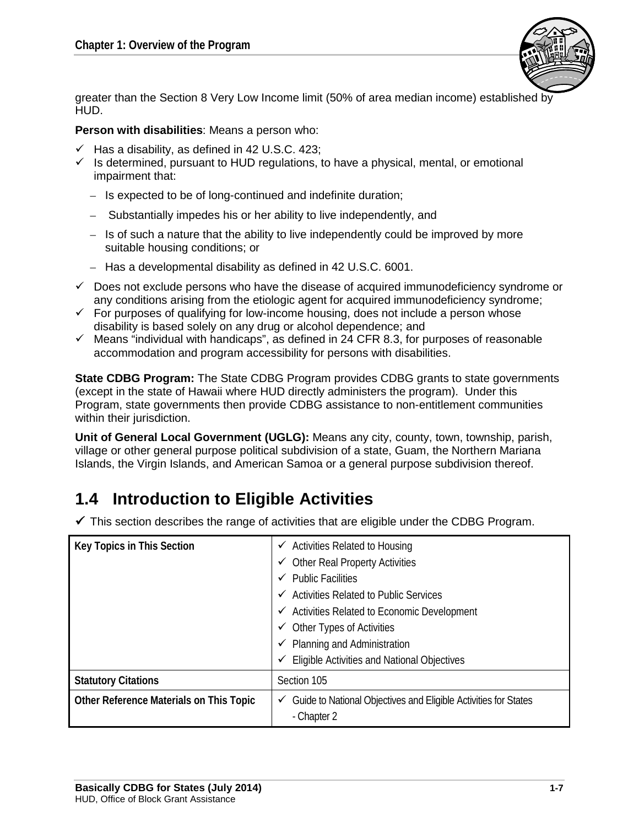

greater than the Section 8 Very Low Income limit (50% of area median income) established by HUD.

**Person with disabilities**: Means a person who:

- $\checkmark$  Has a disability, as defined in 42 U.S.C. 423;
- $\checkmark$  is determined, pursuant to HUD regulations, to have a physical, mental, or emotional impairment that:
	- Is expected to be of long-continued and indefinite duration;
	- Substantially impedes his or her ability to live independently, and
	- Is of such a nature that the ability to live independently could be improved by more suitable housing conditions; or
	- Has a developmental disability as defined in 42 U.S.C. 6001.
- $\checkmark$  Does not exclude persons who have the disease of acquired immunodeficiency syndrome or any conditions arising from the etiologic agent for acquired immunodeficiency syndrome;
- $\checkmark$  For purposes of qualifying for low-income housing, does not include a person whose disability is based solely on any drug or alcohol dependence; and
- $\checkmark$  Means "individual with handicaps", as defined in 24 CFR 8.3, for purposes of reasonable accommodation and program accessibility for persons with disabilities.

**State CDBG Program:** The State CDBG Program provides CDBG grants to state governments (except in the state of Hawaii where HUD directly administers the program). Under this Program, state governments then provide CDBG assistance to non-entitlement communities within their jurisdiction.

**Unit of General Local Government (UGLG):** Means any city, county, town, township, parish, village or other general purpose political subdivision of a state, Guam, the Northern Mariana Islands, the Virgin Islands, and American Samoa or a general purpose subdivision thereof.

# **1.4 Introduction to Eligible Activities**

 $\checkmark$  This section describes the range of activities that are eligible under the CDBG Program.

| Key Topics in This Section              | $\checkmark$ Activities Related to Housing<br>$\checkmark$ Other Real Property Activities<br>$\checkmark$ Public Facilities<br>$\checkmark$ Activities Related to Public Services<br>$\checkmark$ Activities Related to Economic Development<br>$\checkmark$ Other Types of Activities<br>$\checkmark$ Planning and Administration<br>Eligible Activities and National Objectives<br>✓ |
|-----------------------------------------|----------------------------------------------------------------------------------------------------------------------------------------------------------------------------------------------------------------------------------------------------------------------------------------------------------------------------------------------------------------------------------------|
| <b>Statutory Citations</b>              | Section 105                                                                                                                                                                                                                                                                                                                                                                            |
| Other Reference Materials on This Topic | Guide to National Objectives and Eligible Activities for States<br>✓<br>- Chapter 2                                                                                                                                                                                                                                                                                                    |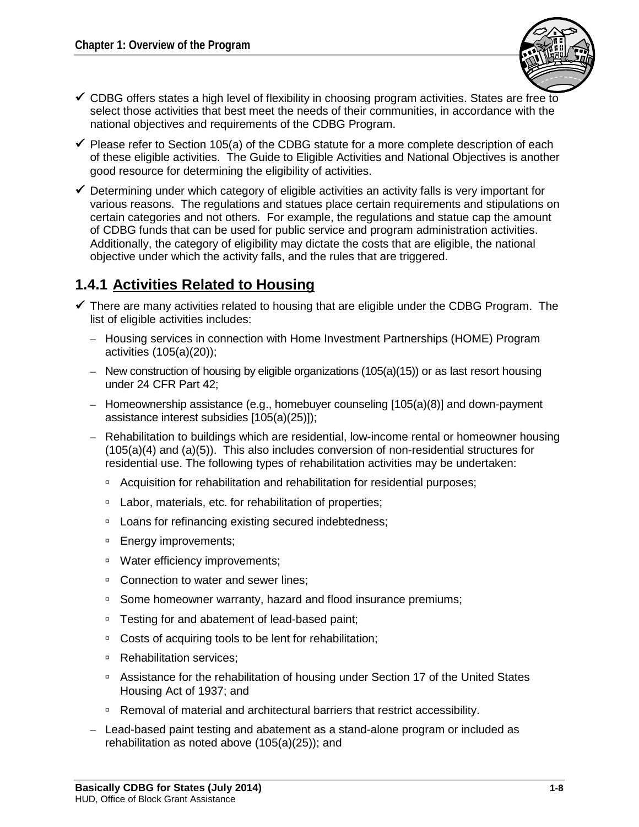

- $\checkmark$  CDBG offers states a high level of flexibility in choosing program activities. States are free to select those activities that best meet the needs of their communities, in accordance with the national objectives and requirements of the CDBG Program.
- $\checkmark$  Please refer to Section 105(a) of the CDBG statute for a more complete description of each of these eligible activities. The Guide to Eligible Activities and National Objectives is another good resource for determining the eligibility of activities.
- $\checkmark$  Determining under which category of eligible activities an activity falls is very important for various reasons. The regulations and statues place certain requirements and stipulations on certain categories and not others. For example, the regulations and statue cap the amount of CDBG funds that can be used for public service and program administration activities. Additionally, the category of eligibility may dictate the costs that are eligible, the national objective under which the activity falls, and the rules that are triggered.

### **1.4.1 Activities Related to Housing**

- $\checkmark$  There are many activities related to housing that are eligible under the CDBG Program. The list of eligible activities includes:
	- Housing services in connection with Home Investment Partnerships (HOME) Program activities (105(a)(20));
	- New construction of housing by eligible organizations (105(a)(15)) or as last resort housing under 24 CFR Part 42;
	- Homeownership assistance (e.g., homebuyer counseling [105(a)(8)] and down-payment assistance interest subsidies [105(a)(25)]);
	- Rehabilitation to buildings which are residential, low-income rental or homeowner housing  $(105(a)(4)$  and  $(a)(5)$ ). This also includes conversion of non-residential structures for residential use. The following types of rehabilitation activities may be undertaken:
		- □ Acquisition for rehabilitation and rehabilitation for residential purposes;
		- □ Labor, materials, etc. for rehabilitation of properties;
		- □ Loans for refinancing existing secured indebtedness;
		- **Energy improvements;**
		- □ Water efficiency improvements;
		- □ Connection to water and sewer lines;
		- □ Some homeowner warranty, hazard and flood insurance premiums;
		- □ Testing for and abatement of lead-based paint;
		- □ Costs of acquiring tools to be lent for rehabilitation;
		- □ Rehabilitation services:
		- Assistance for the rehabilitation of housing under Section 17 of the United States Housing Act of 1937; and
		- □ Removal of material and architectural barriers that restrict accessibility.
	- Lead-based paint testing and abatement as a stand-alone program or included as rehabilitation as noted above (105(a)(25)); and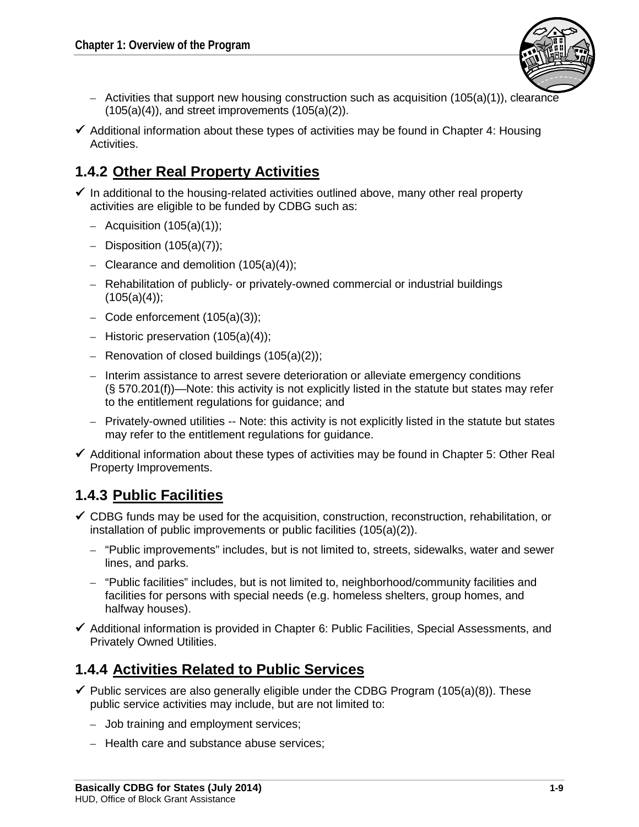

- Activities that support new housing construction such as acquisition (105(a)(1)), clearance  $(105(a)(4))$ , and street improvements  $(105(a)(2))$ .
- $\checkmark$  Additional information about these types of activities may be found in Chapter 4: Housing Activities.

## **1.4.2 Other Real Property Activities**

- $\checkmark$  In additional to the housing-related activities outlined above, many other real property activities are eligible to be funded by CDBG such as:
	- $-$  Acquisition (105(a)(1));
	- $-$  Disposition (105(a)(7));
	- Clearance and demolition  $(105(a)(4))$ ;
	- Rehabilitation of publicly- or privately-owned commercial or industrial buildings  $(105(a)(4));$
	- Code enforcement (105(a)(3));
	- Historic preservation  $(105(a)(4))$ ;
	- Renovation of closed buildings (105(a)(2));
	- Interim assistance to arrest severe deterioration or alleviate emergency conditions (§ 570.201(f))—Note: this activity is not explicitly listed in the statute but states may refer to the entitlement regulations for guidance; and
	- Privately-owned utilities -- Note: this activity is not explicitly listed in the statute but states may refer to the entitlement regulations for guidance.
- $\checkmark$  Additional information about these types of activities may be found in Chapter 5: Other Real Property Improvements.

### **1.4.3 Public Facilities**

- $\checkmark$  CDBG funds may be used for the acquisition, construction, reconstruction, rehabilitation, or installation of public improvements or public facilities (105(a)(2)).
	- "Public improvements" includes, but is not limited to, streets, sidewalks, water and sewer lines, and parks.
	- "Public facilities" includes, but is not limited to, neighborhood/community facilities and facilities for persons with special needs (e.g. homeless shelters, group homes, and halfway houses).
- $\checkmark$  Additional information is provided in Chapter 6: Public Facilities, Special Assessments, and Privately Owned Utilities.

### **1.4.4 Activities Related to Public Services**

- $\checkmark$  Public services are also generally eligible under the CDBG Program (105(a)(8)). These public service activities may include, but are not limited to:
	- Job training and employment services;
	- Health care and substance abuse services;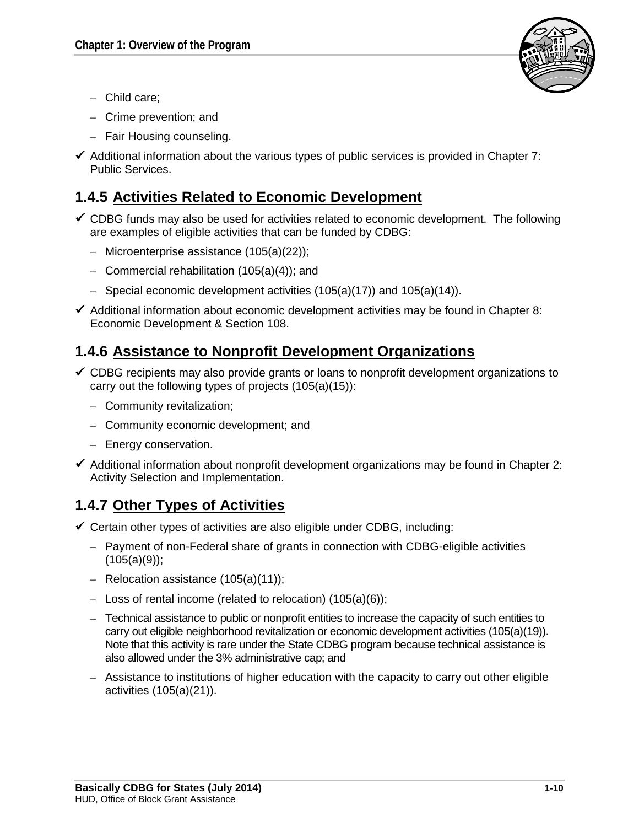

- Child care;
- Crime prevention; and
- Fair Housing counseling.
- $\checkmark$  Additional information about the various types of public services is provided in Chapter 7: Public Services.

### **1.4.5 Activities Related to Economic Development**

- $\checkmark$  CDBG funds may also be used for activities related to economic development. The following are examples of eligible activities that can be funded by CDBG:
	- Microenterprise assistance (105(a)(22));
	- Commercial rehabilitation (105(a)(4)); and
	- Special economic development activities (105(a)(17)) and 105(a)(14)).
- $\checkmark$  Additional information about economic development activities may be found in Chapter 8: Economic Development & Section 108.

### **1.4.6 Assistance to Nonprofit Development Organizations**

- $\checkmark$  CDBG recipients may also provide grants or loans to nonprofit development organizations to carry out the following types of projects (105(a)(15)):
	- Community revitalization;
	- Community economic development; and
	- Energy conservation.
- $\checkmark$  Additional information about nonprofit development organizations may be found in Chapter 2: Activity Selection and Implementation.

### **1.4.7 Other Types of Activities**

- $\checkmark$  Certain other types of activities are also eligible under CDBG, including:
	- Payment of non-Federal share of grants in connection with CDBG-eligible activities  $(105(a)(9))$ ;
	- Relocation assistance (105(a)(11));
	- Loss of rental income (related to relocation) (105(a)(6));
	- Technical assistance to public or nonprofit entities to increase the capacity of such entities to carry out eligible neighborhood revitalization or economic development activities (105(a)(19)). Note that this activity is rare under the State CDBG program because technical assistance is also allowed under the 3% administrative cap; and
	- Assistance to institutions of higher education with the capacity to carry out other eligible activities (105(a)(21)).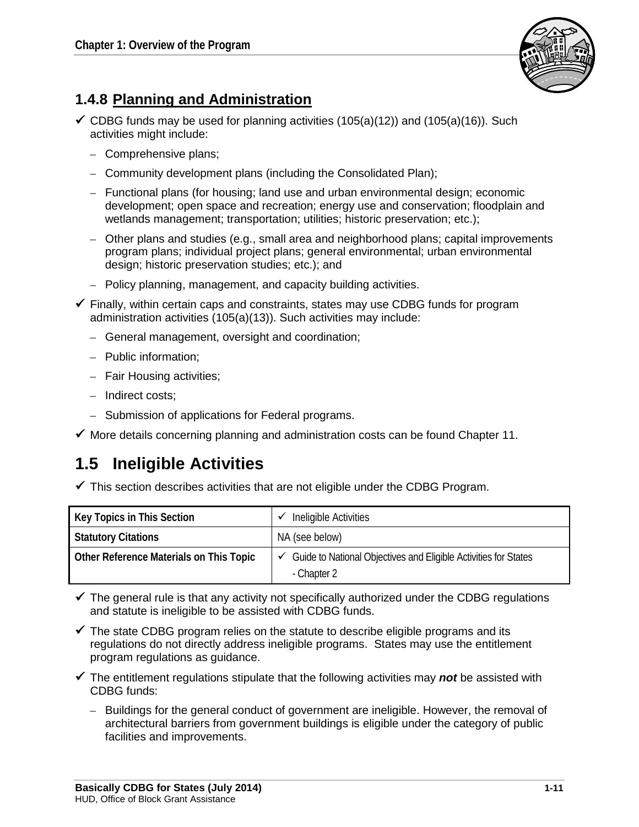

### **1.4.8 Planning and Administration**

- CDBG funds may be used for planning activities  $(105(a)(12))$  and  $(105(a)(16))$ . Such activities might include:
	- Comprehensive plans;
	- Community development plans (including the Consolidated Plan);
	- Functional plans (for housing; land use and urban environmental design; economic development; open space and recreation; energy use and conservation; floodplain and wetlands management; transportation; utilities; historic preservation: etc.);
	- Other plans and studies (e.g., small area and neighborhood plans; capital improvements program plans; individual project plans; general environmental; urban environmental design; historic preservation studies; etc.); and
	- Policy planning, management, and capacity building activities.
- $\checkmark$  Finally, within certain caps and constraints, states may use CDBG funds for program administration activities (105(a)(13)). Such activities may include:
	- General management, oversight and coordination;
	- Public information;
	- Fair Housing activities;
	- Indirect costs;
	- Submission of applications for Federal programs.
- $\checkmark$  More details concerning planning and administration costs can be found Chapter 11.

# **1.5 Ineligible Activities**

 $\checkmark$  This section describes activities that are not eligible under the CDBG Program.

| Key Topics in This Section              | Ineligible Activities                                                          |
|-----------------------------------------|--------------------------------------------------------------------------------|
| <b>Statutory Citations</b>              | NA (see below)                                                                 |
| Other Reference Materials on This Topic | Guide to National Objectives and Eligible Activities for States<br>- Chapter 2 |

- $\checkmark$  The general rule is that any activity not specifically authorized under the CDBG regulations and statute is ineligible to be assisted with CDBG funds.
- $\checkmark$  The state CDBG program relies on the statute to describe eligible programs and its regulations do not directly address ineligible programs. States may use the entitlement program regulations as guidance.
- The entitlement regulations stipulate that the following activities may *not* be assisted with CDBG funds:
	- Buildings for the general conduct of government are ineligible. However, the removal of architectural barriers from government buildings is eligible under the category of public facilities and improvements.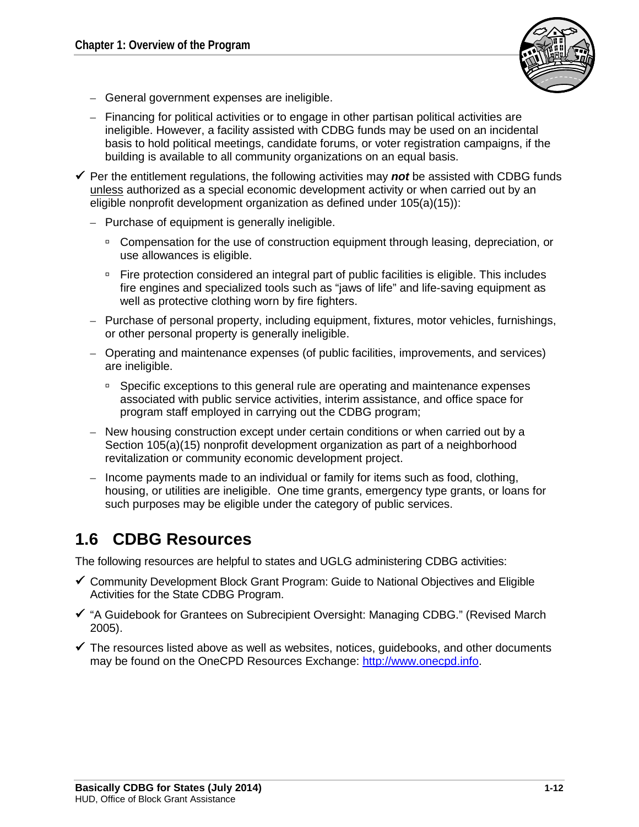

- General government expenses are ineligible.
- Financing for political activities or to engage in other partisan political activities are ineligible. However, a facility assisted with CDBG funds may be used on an incidental basis to hold political meetings, candidate forums, or voter registration campaigns, if the building is available to all community organizations on an equal basis.
- $\checkmark$  Per the entitlement regulations, the following activities may **not** be assisted with CDBG funds unless authorized as a special economic development activity or when carried out by an eligible nonprofit development organization as defined under 105(a)(15)):
	- Purchase of equipment is generally ineligible.
		- Compensation for the use of construction equipment through leasing, depreciation, or use allowances is eligible.
		- □ Fire protection considered an integral part of public facilities is eligible. This includes fire engines and specialized tools such as "jaws of life" and life-saving equipment as well as protective clothing worn by fire fighters.
	- Purchase of personal property, including equipment, fixtures, motor vehicles, furnishings, or other personal property is generally ineligible.
	- Operating and maintenance expenses (of public facilities, improvements, and services) are ineligible.
		- □ Specific exceptions to this general rule are operating and maintenance expenses associated with public service activities, interim assistance, and office space for program staff employed in carrying out the CDBG program;
	- New housing construction except under certain conditions or when carried out by a Section 105(a)(15) nonprofit development organization as part of a neighborhood revitalization or community economic development project.
	- Income payments made to an individual or family for items such as food, clothing, housing, or utilities are ineligible. One time grants, emergency type grants, or loans for such purposes may be eligible under the category of public services.

# **1.6 CDBG Resources**

The following resources are helpful to states and UGLG administering CDBG activities:

- $\checkmark$  Community Development Block Grant Program: Guide to National Objectives and Eligible Activities for the State CDBG Program.
- "A Guidebook for Grantees on Subrecipient Oversight: Managing CDBG." (Revised March 2005).
- $\checkmark$  The resources listed above as well as websites, notices, quidebooks, and other documents may be found on the OneCPD Resources Exchange: [http://www.onecpd.info.](http://www.onecpd.info/)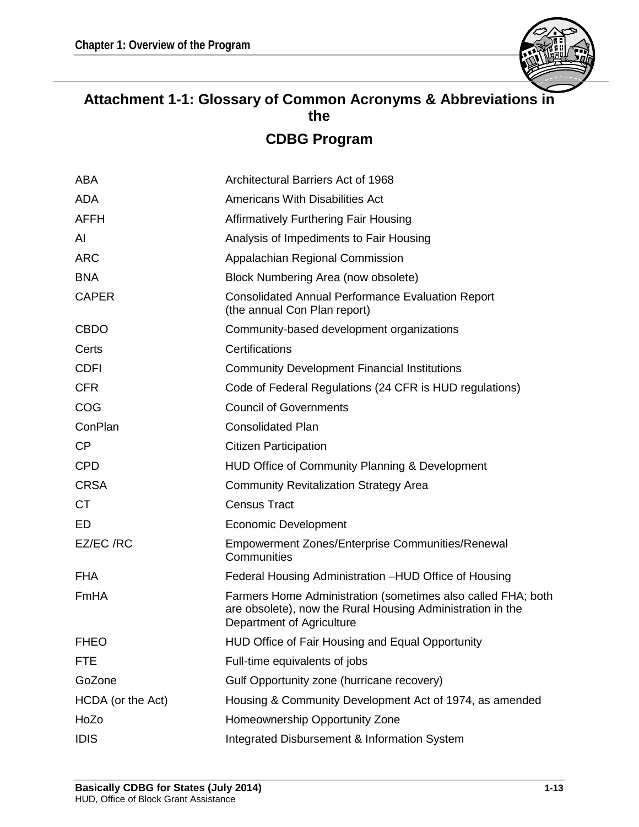

## **Attachment 1-1: Glossary of Common Acronyms & Abbreviations in the CDBG Program**

| ABA               | Architectural Barriers Act of 1968                                                                                                                      |
|-------------------|---------------------------------------------------------------------------------------------------------------------------------------------------------|
| <b>ADA</b>        | <b>Americans With Disabilities Act</b>                                                                                                                  |
| <b>AFFH</b>       | <b>Affirmatively Furthering Fair Housing</b>                                                                                                            |
| AI                | Analysis of Impediments to Fair Housing                                                                                                                 |
| <b>ARC</b>        | Appalachian Regional Commission                                                                                                                         |
| <b>BNA</b>        | Block Numbering Area (now obsolete)                                                                                                                     |
| <b>CAPER</b>      | <b>Consolidated Annual Performance Evaluation Report</b><br>(the annual Con Plan report)                                                                |
| <b>CBDO</b>       | Community-based development organizations                                                                                                               |
| Certs             | Certifications                                                                                                                                          |
| <b>CDFI</b>       | <b>Community Development Financial Institutions</b>                                                                                                     |
| <b>CFR</b>        | Code of Federal Regulations (24 CFR is HUD regulations)                                                                                                 |
| COG               | <b>Council of Governments</b>                                                                                                                           |
| ConPlan           | <b>Consolidated Plan</b>                                                                                                                                |
| CP                | <b>Citizen Participation</b>                                                                                                                            |
| <b>CPD</b>        | HUD Office of Community Planning & Development                                                                                                          |
| <b>CRSA</b>       | <b>Community Revitalization Strategy Area</b>                                                                                                           |
| <b>CT</b>         | <b>Census Tract</b>                                                                                                                                     |
| ED                | <b>Economic Development</b>                                                                                                                             |
| EZ/EC /RC         | <b>Empowerment Zones/Enterprise Communities/Renewal</b><br>Communities                                                                                  |
| <b>FHA</b>        | Federal Housing Administration -HUD Office of Housing                                                                                                   |
| FmHA              | Farmers Home Administration (sometimes also called FHA; both<br>are obsolete), now the Rural Housing Administration in the<br>Department of Agriculture |
| <b>FHEO</b>       | HUD Office of Fair Housing and Equal Opportunity                                                                                                        |
| <b>FTE</b>        | Full-time equivalents of jobs                                                                                                                           |
| GoZone            | Gulf Opportunity zone (hurricane recovery)                                                                                                              |
| HCDA (or the Act) | Housing & Community Development Act of 1974, as amended                                                                                                 |
| HoZo              | Homeownership Opportunity Zone                                                                                                                          |
| <b>IDIS</b>       | Integrated Disbursement & Information System                                                                                                            |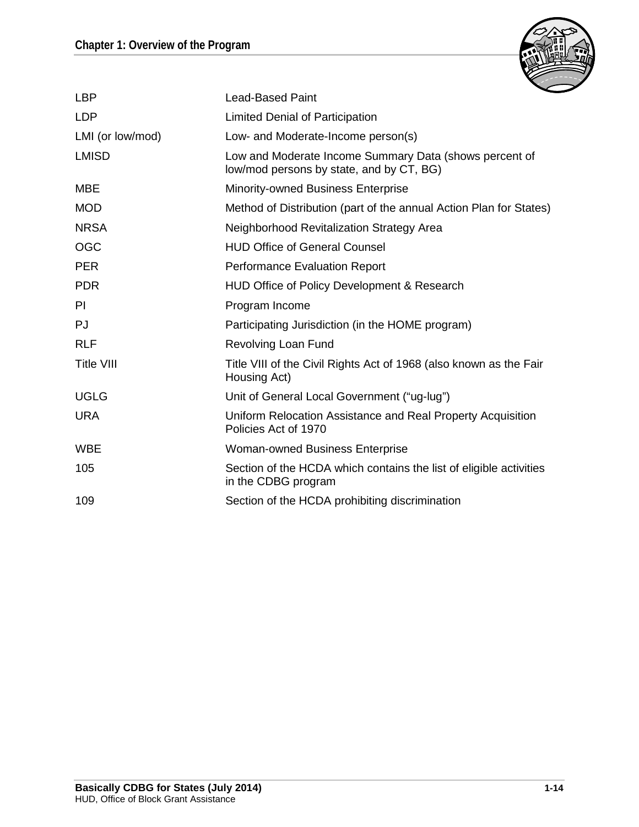

| <b>LBP</b>        | c<br><b>Lead-Based Paint</b>                                                                       |
|-------------------|----------------------------------------------------------------------------------------------------|
| <b>LDP</b>        | Limited Denial of Participation                                                                    |
| LMI (or low/mod)  | Low- and Moderate-Income person(s)                                                                 |
| <b>LMISD</b>      | Low and Moderate Income Summary Data (shows percent of<br>low/mod persons by state, and by CT, BG) |
| <b>MBE</b>        | <b>Minority-owned Business Enterprise</b>                                                          |
| <b>MOD</b>        | Method of Distribution (part of the annual Action Plan for States)                                 |
| <b>NRSA</b>       | Neighborhood Revitalization Strategy Area                                                          |
| <b>OGC</b>        | <b>HUD Office of General Counsel</b>                                                               |
| <b>PER</b>        | <b>Performance Evaluation Report</b>                                                               |
| <b>PDR</b>        | HUD Office of Policy Development & Research                                                        |
| PI                | Program Income                                                                                     |
| PJ                | Participating Jurisdiction (in the HOME program)                                                   |
| <b>RLF</b>        | <b>Revolving Loan Fund</b>                                                                         |
| <b>Title VIII</b> | Title VIII of the Civil Rights Act of 1968 (also known as the Fair<br>Housing Act)                 |
| <b>UGLG</b>       | Unit of General Local Government ("ug-lug")                                                        |
| <b>URA</b>        | Uniform Relocation Assistance and Real Property Acquisition<br>Policies Act of 1970                |
| <b>WBE</b>        | <b>Woman-owned Business Enterprise</b>                                                             |
| 105               | Section of the HCDA which contains the list of eligible activities<br>in the CDBG program          |
| 109               | Section of the HCDA prohibiting discrimination                                                     |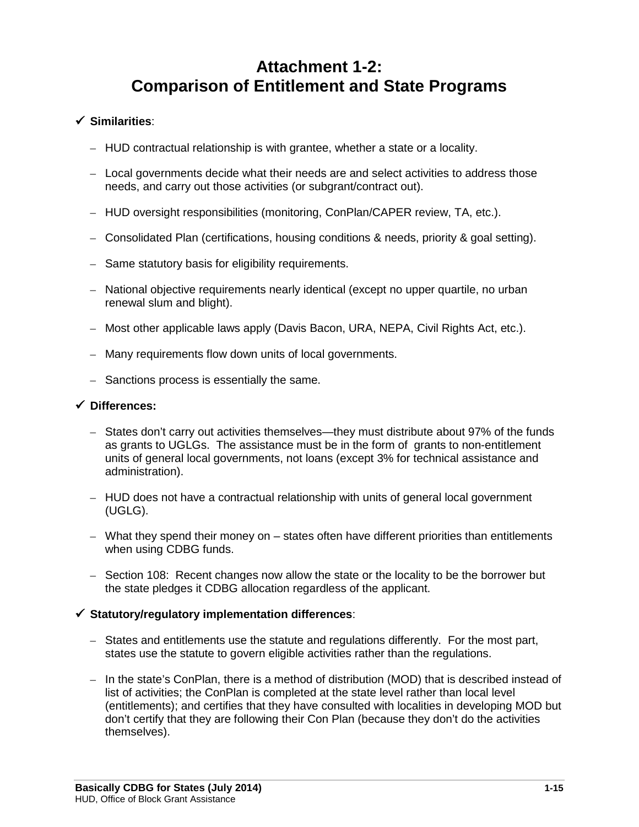## **Attachment 1-2: Comparison of Entitlement and State Programs**

#### **Similarities**:

- HUD contractual relationship is with grantee, whether a state or a locality.
- Local governments decide what their needs are and select activities to address those needs, and carry out those activities (or subgrant/contract out).
- HUD oversight responsibilities (monitoring, ConPlan/CAPER review, TA, etc.).
- Consolidated Plan (certifications, housing conditions & needs, priority & goal setting).
- Same statutory basis for eligibility requirements.
- National objective requirements nearly identical (except no upper quartile, no urban renewal slum and blight).
- Most other applicable laws apply (Davis Bacon, URA, NEPA, Civil Rights Act, etc.).
- Many requirements flow down units of local governments.
- Sanctions process is essentially the same.

#### **Differences:**

- States don't carry out activities themselves—they must distribute about 97% of the funds as grants to UGLGs. The assistance must be in the form of grants to non-entitlement units of general local governments, not loans (except 3% for technical assistance and administration).
- HUD does not have a contractual relationship with units of general local government (UGLG).
- What they spend their money on states often have different priorities than entitlements when using CDBG funds.
- Section 108: Recent changes now allow the state or the locality to be the borrower but the state pledges it CDBG allocation regardless of the applicant.

#### **Statutory/regulatory implementation differences**:

- States and entitlements use the statute and regulations differently. For the most part, states use the statute to govern eligible activities rather than the regulations.
- In the state's ConPlan, there is a method of distribution (MOD) that is described instead of list of activities; the ConPlan is completed at the state level rather than local level (entitlements); and certifies that they have consulted with localities in developing MOD but don't certify that they are following their Con Plan (because they don't do the activities themselves).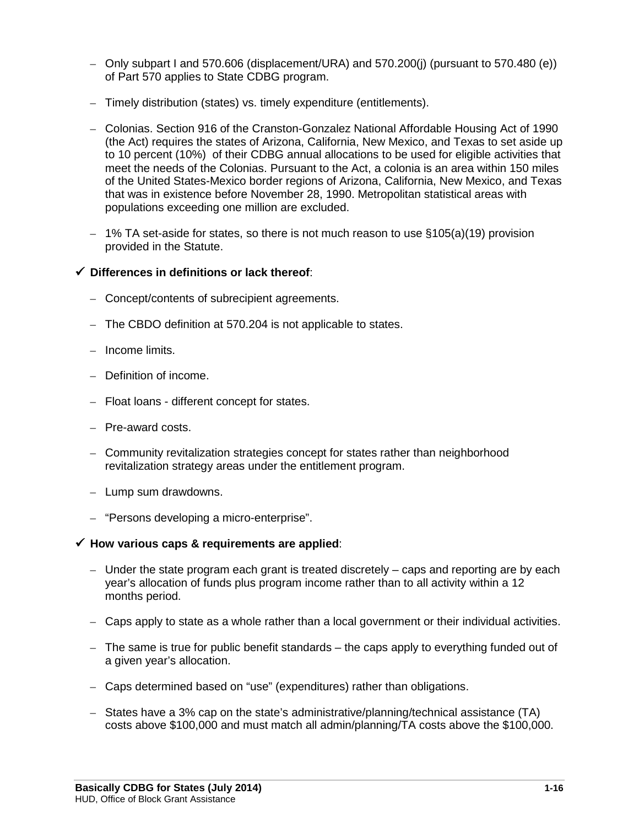- Only subpart I and 570.606 (displacement/URA) and 570.200(j) (pursuant to 570.480 (e)) of Part 570 applies to State CDBG program.
- Timely distribution (states) vs. timely expenditure (entitlements).
- Colonias. Section 916 of the Cranston-Gonzalez National Affordable Housing Act of 1990 (the Act) requires the states of Arizona, California, New Mexico, and Texas to set aside up to 10 percent (10%) of their CDBG annual allocations to be used for eligible activities that meet the needs of the Colonias. Pursuant to the Act, a colonia is an area within 150 miles of the United States-Mexico border regions of Arizona, California, New Mexico, and Texas that was in existence before November 28, 1990. Metropolitan statistical areas with populations exceeding one million are excluded.
- 1% TA set-aside for states, so there is not much reason to use §105(a)(19) provision provided in the Statute.

#### **Differences in definitions or lack thereof**:

- Concept/contents of subrecipient agreements.
- The CBDO definition at 570.204 is not applicable to states.
- Income limits.
- Definition of income.
- Float loans different concept for states.
- Pre-award costs.
- Community revitalization strategies concept for states rather than neighborhood revitalization strategy areas under the entitlement program.
- Lump sum drawdowns.
- "Persons developing a micro-enterprise".

#### **How various caps & requirements are applied**:

- Under the state program each grant is treated discretely caps and reporting are by each year's allocation of funds plus program income rather than to all activity within a 12 months period.
- Caps apply to state as a whole rather than a local government or their individual activities.
- The same is true for public benefit standards the caps apply to everything funded out of a given year's allocation.
- Caps determined based on "use" (expenditures) rather than obligations.
- States have a 3% cap on the state's administrative/planning/technical assistance (TA) costs above \$100,000 and must match all admin/planning/TA costs above the \$100,000.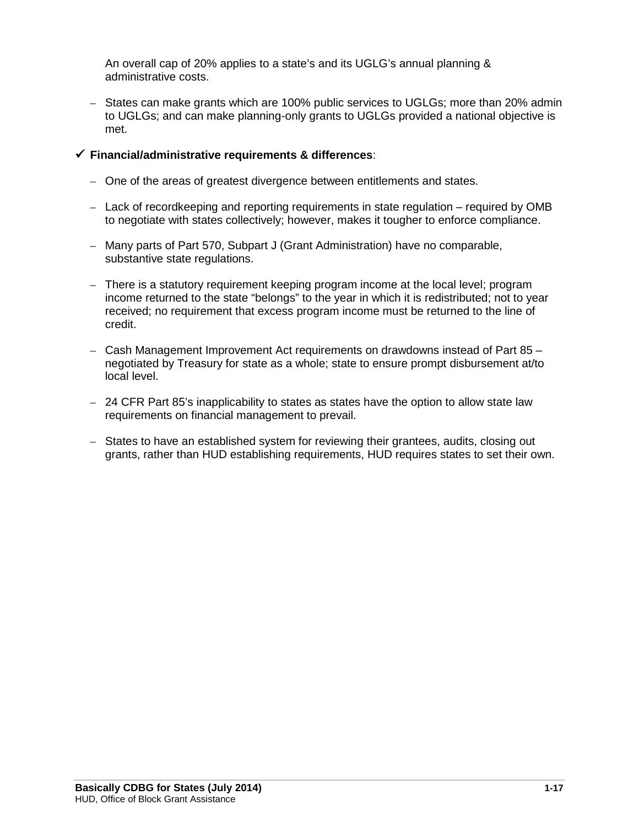An overall cap of 20% applies to a state's and its UGLG's annual planning & administrative costs.

– States can make grants which are 100% public services to UGLGs; more than 20% admin to UGLGs; and can make planning-only grants to UGLGs provided a national objective is met.

#### **Financial/administrative requirements & differences**:

- One of the areas of greatest divergence between entitlements and states.
- Lack of recordkeeping and reporting requirements in state regulation required by OMB to negotiate with states collectively; however, makes it tougher to enforce compliance.
- Many parts of Part 570, Subpart J (Grant Administration) have no comparable, substantive state regulations.
- There is a statutory requirement keeping program income at the local level; program income returned to the state "belongs" to the year in which it is redistributed; not to year received; no requirement that excess program income must be returned to the line of credit.
- Cash Management Improvement Act requirements on drawdowns instead of Part 85 negotiated by Treasury for state as a whole; state to ensure prompt disbursement at/to local level.
- 24 CFR Part 85's inapplicability to states as states have the option to allow state law requirements on financial management to prevail.
- States to have an established system for reviewing their grantees, audits, closing out grants, rather than HUD establishing requirements, HUD requires states to set their own.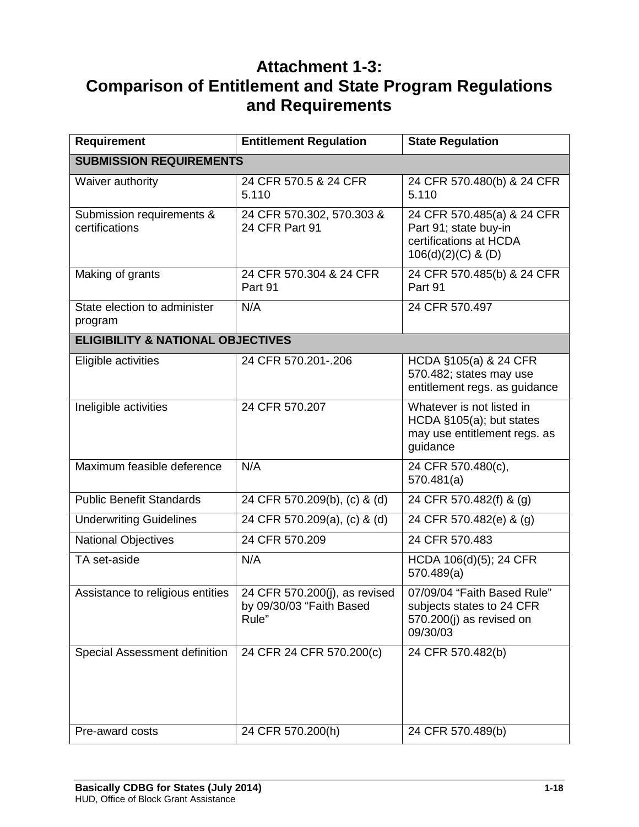# **Attachment 1-3: Comparison of Entitlement and State Program Regulations and Requirements**

| <b>Requirement</b>                           | <b>Entitlement Regulation</b>                                      | <b>State Regulation</b>                                                                                 |
|----------------------------------------------|--------------------------------------------------------------------|---------------------------------------------------------------------------------------------------------|
| <b>SUBMISSION REQUIREMENTS</b>               |                                                                    |                                                                                                         |
| Waiver authority                             | 24 CFR 570.5 & 24 CFR<br>5.110                                     | 24 CFR 570.480(b) & 24 CFR<br>5.110                                                                     |
| Submission requirements &<br>certifications  | 24 CFR 570.302, 570.303 &<br>24 CFR Part 91                        | 24 CFR 570.485(a) & 24 CFR<br>Part 91; state buy-in<br>certifications at HCDA<br>$106(d)(2)(C)$ & $(D)$ |
| Making of grants                             | 24 CFR 570.304 & 24 CFR<br>Part 91                                 | 24 CFR 570.485(b) & 24 CFR<br>Part 91                                                                   |
| State election to administer<br>program      | N/A                                                                | 24 CFR 570.497                                                                                          |
| <b>ELIGIBILITY &amp; NATIONAL OBJECTIVES</b> |                                                                    |                                                                                                         |
| Eligible activities                          | 24 CFR 570.201-.206                                                | HCDA §105(a) & 24 CFR<br>570.482; states may use<br>entitlement regs. as guidance                       |
| Ineligible activities                        | 24 CFR 570.207                                                     | Whatever is not listed in<br>HCDA §105(a); but states<br>may use entitlement regs. as<br>guidance       |
| Maximum feasible deference                   | N/A                                                                | 24 CFR 570.480(c),<br>570.481(a)                                                                        |
| <b>Public Benefit Standards</b>              | 24 CFR 570.209(b), (c) & (d)                                       | 24 CFR 570.482(f) & (g)                                                                                 |
| <b>Underwriting Guidelines</b>               | 24 CFR 570.209(a), (c) & (d)                                       | 24 CFR 570.482(e) & (g)                                                                                 |
| <b>National Objectives</b>                   | 24 CFR 570.209                                                     | 24 CFR 570.483                                                                                          |
| TA set-aside                                 | N/A                                                                | HCDA 106(d)(5); 24 CFR<br>570.489(a)                                                                    |
| Assistance to religious entities             | 24 CFR 570.200(j), as revised<br>by 09/30/03 "Faith Based<br>Rule" | 07/09/04 "Faith Based Rule"<br>subjects states to 24 CFR<br>570.200(j) as revised on<br>09/30/03        |
| Special Assessment definition                | 24 CFR 24 CFR 570.200(c)                                           | 24 CFR 570.482(b)                                                                                       |
| Pre-award costs                              | 24 CFR 570.200(h)                                                  | 24 CFR 570.489(b)                                                                                       |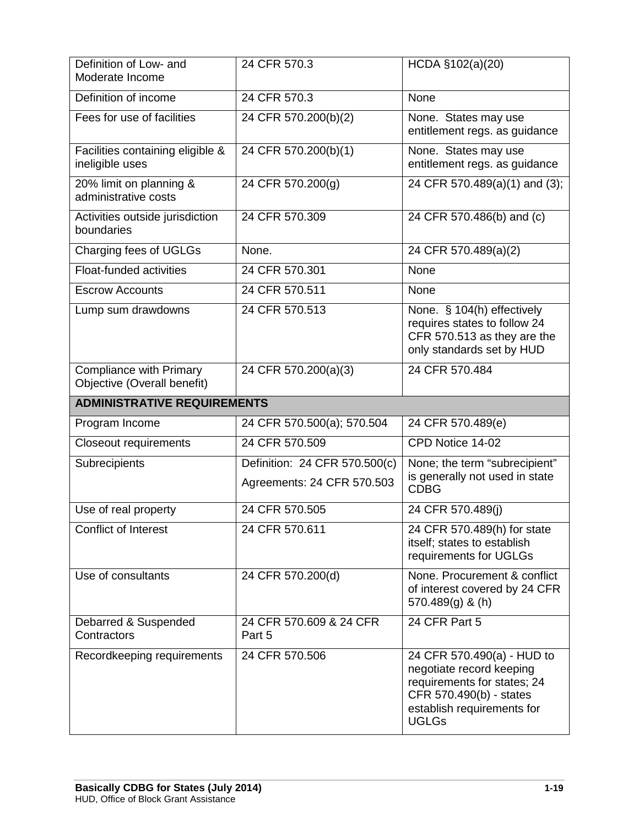| Definition of Low- and<br>Moderate Income                     | 24 CFR 570.3                                                | HCDA §102(a)(20)                                                                                                       |
|---------------------------------------------------------------|-------------------------------------------------------------|------------------------------------------------------------------------------------------------------------------------|
| Definition of income                                          | 24 CFR 570.3                                                | None                                                                                                                   |
| Fees for use of facilities                                    | 24 CFR 570.200(b)(2)                                        | None. States may use<br>entitlement regs. as guidance                                                                  |
| Facilities containing eligible &<br>ineligible uses           | 24 CFR 570.200(b)(1)                                        | None. States may use<br>entitlement regs. as guidance                                                                  |
| 20% limit on planning &<br>administrative costs               | 24 CFR 570.200(g)                                           | 24 CFR 570.489(a)(1) and (3);                                                                                          |
| Activities outside jurisdiction<br>boundaries                 | 24 CFR 570.309                                              | 24 CFR 570.486(b) and (c)                                                                                              |
| Charging fees of UGLGs                                        | None.                                                       | 24 CFR 570.489(a)(2)                                                                                                   |
| Float-funded activities                                       | 24 CFR 570.301                                              | <b>None</b>                                                                                                            |
| <b>Escrow Accounts</b>                                        | 24 CFR 570.511                                              | None                                                                                                                   |
| Lump sum drawdowns                                            | 24 CFR 570.513                                              | None. § 104(h) effectively<br>requires states to follow 24<br>CFR 570.513 as they are the<br>only standards set by HUD |
| <b>Compliance with Primary</b><br>Objective (Overall benefit) | 24 CFR 570.200(a)(3)                                        | 24 CFR 570.484                                                                                                         |
|                                                               |                                                             |                                                                                                                        |
| <b>ADMINISTRATIVE REQUIREMENTS</b>                            |                                                             |                                                                                                                        |
| Program Income                                                | 24 CFR 570.500(a); 570.504                                  | 24 CFR 570.489(e)                                                                                                      |
| <b>Closeout requirements</b>                                  | 24 CFR 570.509                                              | CPD Notice 14-02                                                                                                       |
| Subrecipients                                                 | Definition: 24 CFR 570.500(c)<br>Agreements: 24 CFR 570.503 | None; the term "subrecipient"<br>is generally not used in state<br><b>CDBG</b>                                         |
| Use of real property                                          | 24 CFR 570.505                                              | 24 CFR 570.489(i)                                                                                                      |
| Conflict of Interest                                          | 24 CFR 570.611                                              | 24 CFR 570.489(h) for state<br>itself; states to establish<br>requirements for UGLGs                                   |
| Use of consultants                                            | 24 CFR 570.200(d)                                           | None. Procurement & conflict<br>of interest covered by 24 CFR<br>$570.489(g)$ & (h)                                    |
| Debarred & Suspended<br>Contractors                           | 24 CFR 570.609 & 24 CFR<br>Part 5                           | 24 CFR Part 5                                                                                                          |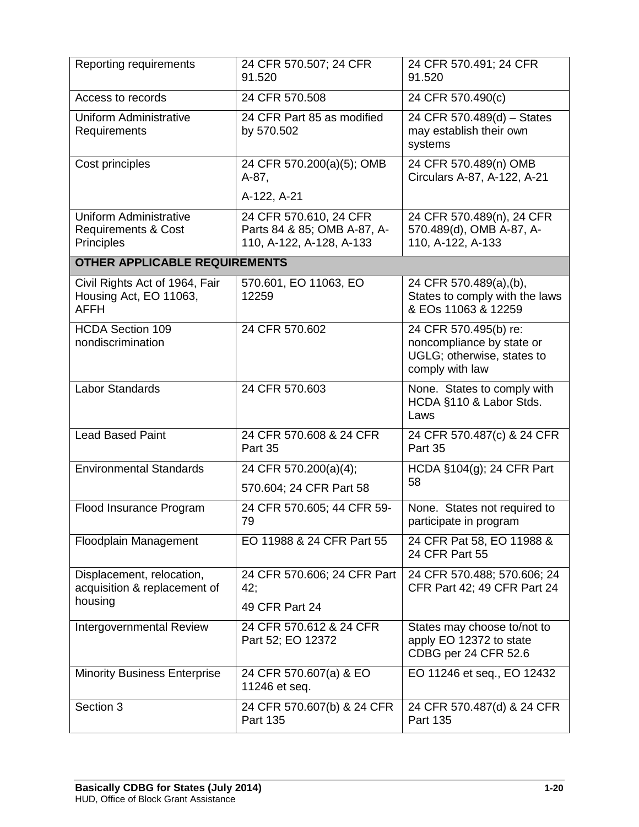| Reporting requirements                                                  | 24 CFR 570.507; 24 CFR<br>91.520                                                  | 24 CFR 570.491; 24 CFR<br>91.520                                                                    |
|-------------------------------------------------------------------------|-----------------------------------------------------------------------------------|-----------------------------------------------------------------------------------------------------|
| Access to records                                                       | 24 CFR 570.508                                                                    | 24 CFR 570.490(c)                                                                                   |
| <b>Uniform Administrative</b><br>Requirements                           | 24 CFR Part 85 as modified<br>by 570.502                                          | 24 CFR 570.489(d) - States<br>may establish their own<br>systems                                    |
| Cost principles                                                         | 24 CFR 570.200(a)(5); OMB<br>$A-87,$                                              | 24 CFR 570.489(n) OMB<br>Circulars A-87, A-122, A-21                                                |
|                                                                         | A-122, A-21                                                                       |                                                                                                     |
| Uniform Administrative<br><b>Requirements &amp; Cost</b><br>Principles  | 24 CFR 570.610, 24 CFR<br>Parts 84 & 85; OMB A-87, A-<br>110, A-122, A-128, A-133 | 24 CFR 570.489(n), 24 CFR<br>570.489(d), OMB A-87, A-<br>110, A-122, A-133                          |
| OTHER APPLICABLE REQUIREMENTS                                           |                                                                                   |                                                                                                     |
| Civil Rights Act of 1964, Fair<br>Housing Act, EO 11063,<br><b>AFFH</b> | 570.601, EO 11063, EO<br>12259                                                    | 24 CFR 570.489(a),(b),<br>States to comply with the laws<br>& EOs 11063 & 12259                     |
| <b>HCDA Section 109</b><br>nondiscrimination                            | 24 CFR 570.602                                                                    | 24 CFR 570.495(b) re:<br>noncompliance by state or<br>UGLG; otherwise, states to<br>comply with law |
| Labor Standards                                                         | 24 CFR 570.603                                                                    | None. States to comply with<br>HCDA §110 & Labor Stds.<br>Laws                                      |
| <b>Lead Based Paint</b>                                                 | 24 CFR 570.608 & 24 CFR<br>Part 35                                                | 24 CFR 570.487(c) & 24 CFR<br>Part 35                                                               |
| <b>Environmental Standards</b>                                          | 24 CFR 570.200(a)(4);<br>570.604; 24 CFR Part 58                                  | HCDA §104(g); 24 CFR Part<br>58                                                                     |
| Flood Insurance Program                                                 | 24 CFR 570.605; 44 CFR 59-<br>79                                                  | None. States not required to<br>participate in program                                              |
| Floodplain Management                                                   | EO 11988 & 24 CFR Part 55                                                         | 24 CFR Pat 58, EO 11988 &<br>24 CFR Part 55                                                         |
| Displacement, relocation,<br>acquisition & replacement of               | 24 CFR 570.606; 24 CFR Part<br>42;                                                | 24 CFR 570.488; 570.606; 24<br>CFR Part 42; 49 CFR Part 24                                          |
| housing                                                                 | 49 CFR Part 24                                                                    |                                                                                                     |
| Intergovernmental Review                                                | 24 CFR 570.612 & 24 CFR<br>Part 52; EO 12372                                      | States may choose to/not to<br>apply EO 12372 to state<br>CDBG per 24 CFR 52.6                      |
| <b>Minority Business Enterprise</b>                                     | 24 CFR 570.607(a) & EO<br>11246 et seq.                                           | EO 11246 et seq., EO 12432                                                                          |
| Section 3                                                               | 24 CFR 570.607(b) & 24 CFR<br>Part 135                                            | 24 CFR 570.487(d) & 24 CFR<br>Part 135                                                              |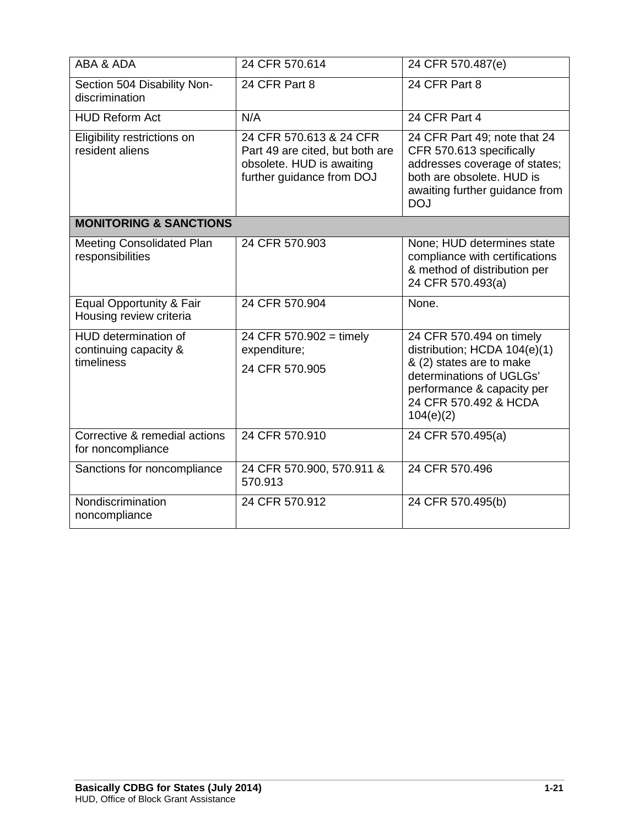| ABA & ADA                                                   | 24 CFR 570.614                                                                                                       | 24 CFR 570.487(e)                                                                                                                                                                    |  |  |
|-------------------------------------------------------------|----------------------------------------------------------------------------------------------------------------------|--------------------------------------------------------------------------------------------------------------------------------------------------------------------------------------|--|--|
| Section 504 Disability Non-<br>discrimination               | 24 CFR Part 8                                                                                                        | 24 CFR Part 8                                                                                                                                                                        |  |  |
| <b>HUD Reform Act</b>                                       | N/A                                                                                                                  | 24 CFR Part 4                                                                                                                                                                        |  |  |
| Eligibility restrictions on<br>resident aliens              | 24 CFR 570.613 & 24 CFR<br>Part 49 are cited, but both are<br>obsolete. HUD is awaiting<br>further guidance from DOJ | 24 CFR Part 49; note that 24<br>CFR 570.613 specifically<br>addresses coverage of states;<br>both are obsolete. HUD is<br>awaiting further guidance from<br><b>DOJ</b>               |  |  |
| <b>MONITORING &amp; SANCTIONS</b>                           |                                                                                                                      |                                                                                                                                                                                      |  |  |
| <b>Meeting Consolidated Plan</b><br>responsibilities        | 24 CFR 570.903                                                                                                       | None; HUD determines state<br>compliance with certifications<br>& method of distribution per<br>24 CFR 570.493(a)                                                                    |  |  |
| Equal Opportunity & Fair<br>Housing review criteria         | 24 CFR 570.904                                                                                                       | None.                                                                                                                                                                                |  |  |
| HUD determination of<br>continuing capacity &<br>timeliness | 24 CFR 570.902 = timely<br>expenditure;<br>24 CFR 570.905                                                            | 24 CFR 570.494 on timely<br>distribution; HCDA 104(e)(1)<br>& (2) states are to make<br>determinations of UGLGs'<br>performance & capacity per<br>24 CFR 570.492 & HCDA<br>104(e)(2) |  |  |
| Corrective & remedial actions<br>for noncompliance          | 24 CFR 570.910                                                                                                       | 24 CFR 570.495(a)                                                                                                                                                                    |  |  |
| Sanctions for noncompliance                                 | 24 CFR 570.900, 570.911 &<br>570.913                                                                                 | 24 CFR 570.496                                                                                                                                                                       |  |  |
| Nondiscrimination<br>noncompliance                          | 24 CFR 570.912                                                                                                       | 24 CFR 570.495(b)                                                                                                                                                                    |  |  |